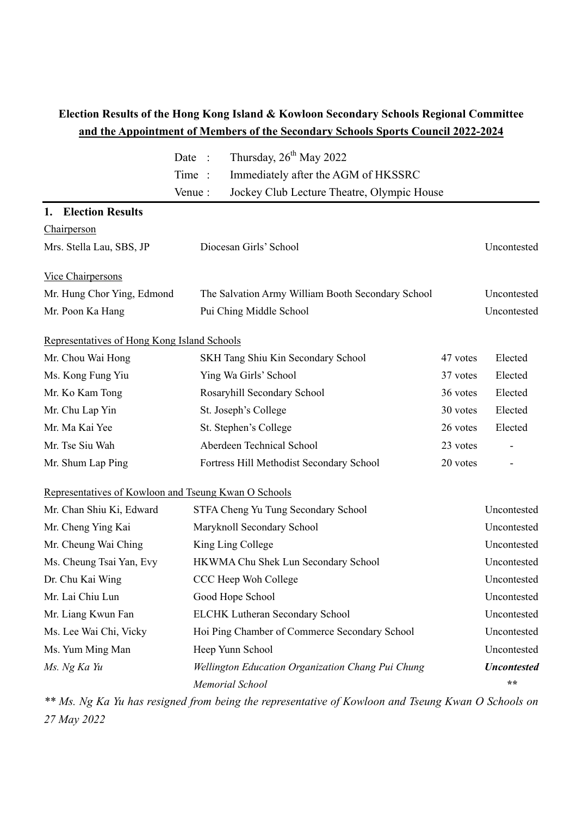## **Election Results of the Hong Kong Island & Kowloon Secondary Schools Regional Committee and the Appointment of Members of the Secondary Schools Sports Council 2022-2024**

|                                                      | Date<br>$\ddot{\phantom{0}}$ : | Thursday, 26 <sup>th</sup> May 2022               |          |                    |
|------------------------------------------------------|--------------------------------|---------------------------------------------------|----------|--------------------|
|                                                      | Time:                          | Immediately after the AGM of HKSSRC               |          |                    |
|                                                      | Venue:                         | Jockey Club Lecture Theatre, Olympic House        |          |                    |
| <b>Election Results</b><br>1.                        |                                |                                                   |          |                    |
| Chairperson                                          |                                |                                                   |          |                    |
| Mrs. Stella Lau, SBS, JP                             | Diocesan Girls' School         |                                                   |          | Uncontested        |
| Vice Chairpersons                                    |                                |                                                   |          |                    |
| Mr. Hung Chor Ying, Edmond                           |                                | The Salvation Army William Booth Secondary School |          | Uncontested        |
| Mr. Poon Ka Hang                                     |                                | Pui Ching Middle School                           |          | Uncontested        |
| Representatives of Hong Kong Island Schools          |                                |                                                   |          |                    |
| Mr. Chou Wai Hong                                    |                                | SKH Tang Shiu Kin Secondary School                | 47 votes | Elected            |
| Ms. Kong Fung Yiu                                    |                                | Ying Wa Girls' School                             | 37 votes | Elected            |
| Mr. Ko Kam Tong                                      |                                | Rosaryhill Secondary School                       | 36 votes | Elected            |
| Mr. Chu Lap Yin                                      |                                | St. Joseph's College                              | 30 votes | Elected            |
| Mr. Ma Kai Yee                                       |                                | St. Stephen's College                             | 26 votes | Elected            |
| Mr. Tse Siu Wah                                      |                                | Aberdeen Technical School                         | 23 votes |                    |
| Mr. Shum Lap Ping                                    |                                | Fortress Hill Methodist Secondary School          | 20 votes | -                  |
| Representatives of Kowloon and Tseung Kwan O Schools |                                |                                                   |          |                    |
| Mr. Chan Shiu Ki, Edward                             |                                | STFA Cheng Yu Tung Secondary School               |          | Uncontested        |
| Mr. Cheng Ying Kai                                   |                                | Maryknoll Secondary School                        |          | Uncontested        |
| Mr. Cheung Wai Ching                                 |                                | King Ling College                                 |          | Uncontested        |
| Ms. Cheung Tsai Yan, Evy                             |                                | HKWMA Chu Shek Lun Secondary School               |          | Uncontested        |
| Dr. Chu Kai Wing                                     |                                | CCC Heep Woh College                              |          | Uncontested        |
| Mr. Lai Chiu Lun                                     |                                | Good Hope School                                  |          | Uncontested        |
| Mr. Liang Kwun Fan                                   |                                | <b>ELCHK Lutheran Secondary School</b>            |          | Uncontested        |
| Ms. Lee Wai Chi, Vicky                               |                                | Hoi Ping Chamber of Commerce Secondary School     |          | Uncontested        |
| Ms. Yum Ming Man                                     |                                | Heep Yunn School                                  |          | Uncontested        |
| Ms. Ng Ka Yu                                         |                                | Wellington Education Organization Chang Pui Chung |          | <b>Uncontested</b> |
|                                                      |                                | Memorial School                                   |          | $\star \star$      |

*\*\* Ms. Ng Ka Yu has resigned from being the representative of Kowloon and Tseung Kwan O Schools on 27 May 2022*